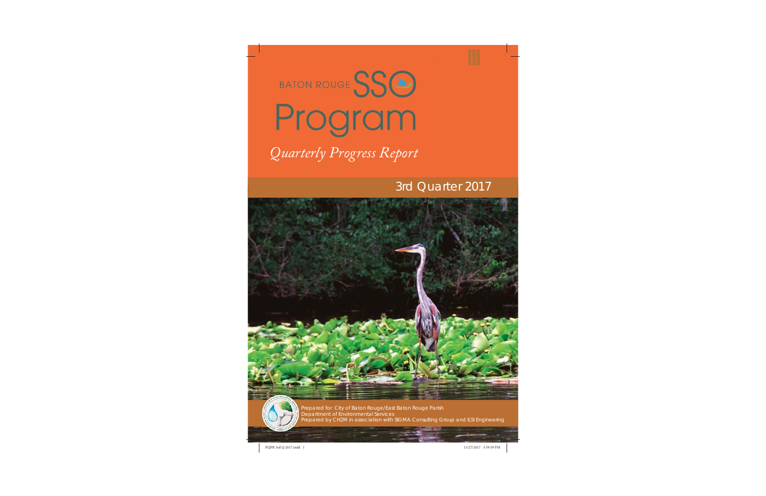

# 3rd Quarter 2017





Prepared for City of Baton Rouge/East Baton Rouge Parish Department of Environmental Services Prepared by CH2M in association with SIGMA Consulting Group and ILSI Engineering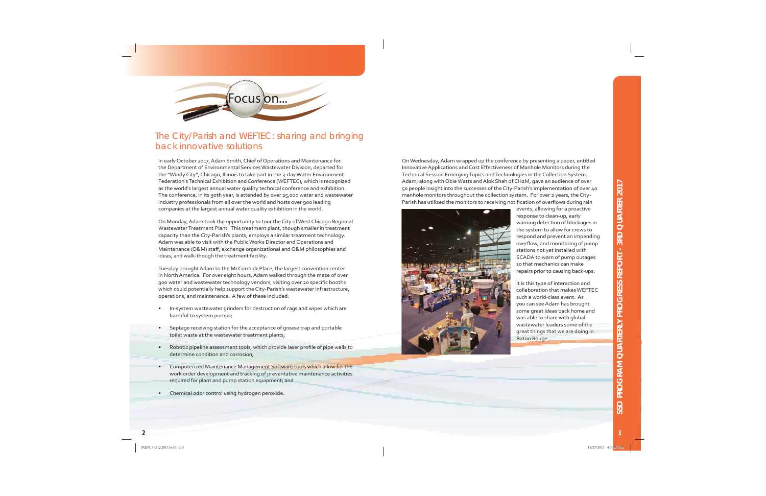

#### The City/Parish and WEFTEC: sharing and bringing back innovative solutions

In early October 2017, Adam Smith, Chief of Operations and Maintenance for the Department of Environmental Services Wastewater Division, departed for the "Windy City", Chicago, Illinois to take part in the 3-day Water Environment Federation's Technical Exhibition and Conference (WEFTEC), which is recognized as the world's largest annual water quality technical conference and exhibition. The conference, in its 90th year, is attended by over 25,000 water and wastewater industry professionals from all over the world and hosts over 900 leading companies at the largest annual water quality exhibition in the world.

On Monday, Adam took the opportunity to tour the City of West Chicago Regional Wastewater Treatment Plant. This treatment plant, though smaller in treatment capacity than the City-Parish's plants, employs a similar treatment technology. Adam was able to visit with the Public Works Director and Operations and Maintenance (O&M) staff, exchange organizational and O&M philosophies and ideas, and walk-though the treatment facility.

Tuesday brought Adam to the McCormick Place, the largest convention center in North America. For over eight hours, Adam walked through the maze of over 900 water and wastewater technology vendors, visiting over 20 specific booths which could potentially help support the City-Parish's wastewater infrastructure, operations, and maintenance. A few of these included:

- In-system wastewater grinders for destruction of rags and wipes which are harmful to system pumps;
- Septage receiving station for the acceptance of grease trap and portable toilet waste at the wastewater treatment plants;
- Robotic pipeline assessment tools, which provide laser profile of pipe walls to determine condition and corrosion;
- Computerized Maintenance Management Software tools which allow for the work order development and tracking of preventative maintenance activities required for plant and pump station equipment; and
- Chemical odor control using hydrogen peroxide.

On Wednesday, Adam wrapped up the conference by presenting a paper, entitled Innovative Applications and Cost Effectiveness of Manhole Monitors during the Technical Session Emerging Topics and Technologies in the Collection System. Adam, along with Obie Watts and Alok Shah of CH2M, gave an audience of over 50 people insight into the successes of the City-Parish's implementation of over 40 manhole monitors throughout the collection system. For over 2 years, the City-Parish has utilized the monitors to receiving notification of overflows during rain



events, allowing for a proactive response to clean-up, early warning detection of blockages in the system to allow for crews to respond and prevent an impending overflow, and monitoring of pump stations not yet installed with SCADA to warn of pump outages so that mechanics can make repairs prior to causing back-ups.

It is this type of interaction and collaboration that makes WEFTEC such a world-class event. As you can see Adam has brought some great ideas back home and was able to share with global wastewater leaders some of the great things that we are doing in Baton Rouge.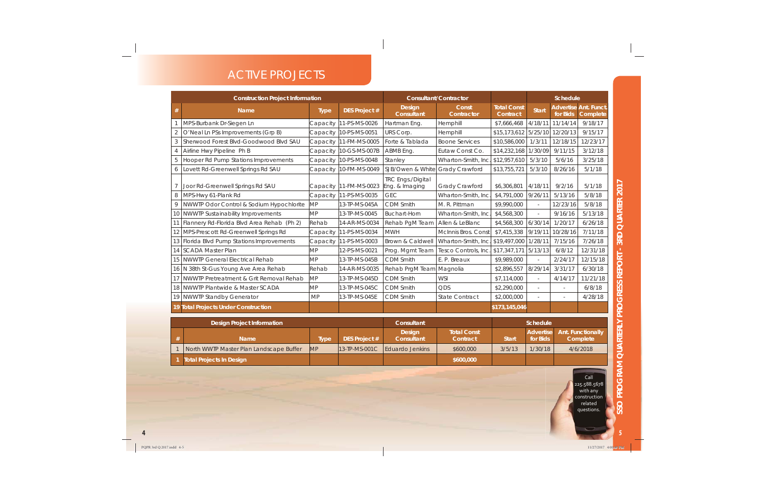## ACTIVE PROJECTS

| <b>Construction Project Information</b> |                                            |             |                      | <b>Consultant/Contractor</b>               |                            |                                | <b>Schedule</b>  |          |                                                |
|-----------------------------------------|--------------------------------------------|-------------|----------------------|--------------------------------------------|----------------------------|--------------------------------|------------------|----------|------------------------------------------------|
| $\#$                                    | <b>Name</b>                                | <b>Type</b> | <b>DES Project #</b> | Design<br><b>Consultant</b>                | Const<br><b>Contractor</b> | <b>Total Const</b><br>Contract | <b>Start</b>     | for Bids | <b>Advertise Ant. Funct</b><br><b>Complete</b> |
|                                         | MPS-Burbank Dr-Siegen Ln                   | Capacity    | 11-PS-MS-0026        | Hartman Eng.                               | Hemphill                   | \$7,666,468                    | 4/18/11          | 11/14/14 | 9/18/17                                        |
| $\overline{2}$                          | O'Neal Ln PSs Improvements (Grp B)         | Capacity    | 10-PS-MS-0051        | URS Corp.                                  | Hemphill                   | \$15,173,612                   | 5/25/10          | 12/20/13 | 9/15/17                                        |
| 3                                       | Sherwood Forest Blvd-Goodwood Blvd SAU     | Capacity    | 11-FM-MS-0005        | Forte & Tablada                            | <b>Boone Services</b>      | \$10,586,000                   | 1/3/11           | 12/18/15 | 12/23/17                                       |
| $\overline{4}$                          | Airline Hwy Pipeline Ph B                  | Capacity    | 10-GS-MS-007B        | ABMB Eng.                                  | Eutaw Const Co.            | \$14,232,168                   | 1/30/09          | 9/11/15  | 3/12/18                                        |
| 5                                       | Hooper Rd Pump Stations Improvements       | Capacity    | 10-PS-MS-0048        | Stanley                                    | Wharton-Smith, Inc.        | \$12,957,610                   | 5/3/10           | 5/6/16   | 3/25/18                                        |
| 6                                       | Lovett Rd-Greenwell Springs Rd SAU         | Capacity    | 10-FM-MS-0049        | SJB/Owen & White                           | Grady Crawford             | \$13,755,721                   | 5/3/10           | 8/26/16  | 5/1/18                                         |
| $\overline{7}$                          | Joor Rd-Greenwell Springs Rd SAU           | Capacity    | 11-FM-MS-0023        | <b>TRC Engs./Digital</b><br>Eng. & Imaging | Grady Crawford             | \$6,306,801                    | 4/18/11          | 9/2/16   | 5/1/18                                         |
| 8                                       | MPS-Hwy 61-Plank Rd                        | Capacity    | 11-PS-MS-0035        | <b>GEC</b>                                 | Wharton-Smith, Inc.        | \$4,791,000                    | 9/26/11          | 5/13/16  | 5/8/18                                         |
| $\mathcal{Q}$                           | NWWTP Odor Control & Sodium Hypochlorite   | <b>MP</b>   | 13-TP-MS-045A        | <b>CDM Smith</b>                           | M. R. Pittman              | \$9,990,000                    |                  | 12/23/16 | 5/8/18                                         |
| 10                                      | <b>NWWTP Sustainability Improvements</b>   | <b>MP</b>   | 13-TP-MS-0045        | <b>Buchart-Horn</b>                        | Wharton-Smith, Inc.        | \$4,568,300                    |                  | 9/16/16  | 5/13/18                                        |
| 11                                      | Flannery Rd-Florida Blvd Area Rehab (Ph 2) | Rehab       | 14-AR-MS-0034        | Rehab PqM Team                             | Allen & LeBlanc            | \$4,568,300                    | 6/30/14          | 1/20/17  | 6/26/18                                        |
| 12                                      | MPS-Prescott Rd-Greenwell Springs Rd       | Capacity    | 11-PS-MS-0034        | <b>MWH</b>                                 | McInnis Bros. Const        | \$7,415,338                    | 9/19/11          | 10/28/16 | 7/11/18                                        |
| 13                                      | Florida Blvd Pump Stations Improvements    | Capacity    | 11-PS-MS-0003        | Brown & Caldwell                           | Wharton-Smith, Inc.        | \$19,497,000                   | 1/28/11          | 7/15/16  | 7/26/18                                        |
| 14                                      | SCADA Master Plan                          | <b>MP</b>   | 12-PS-MS-0021        | Prog. Mgmt Team                            | Tesco Controls, Inc.       | \$17,347,171                   | 5/13/13          | 6/8/12   | 12/31/18                                       |
| 15                                      | NWWTP General Electrical Rehab             | MP          | 13-TP-MS-045B        | CDM Smith                                  | E. P. Breaux               | \$9,989,000                    |                  | 2/24/17  | 12/15/18                                       |
| 16                                      | N 38th St-Gus Young Ave Area Rehab         | Rehab       | 14-AR-MS-0035        | Rehab PrgM Team Magnolia                   |                            | \$2,896,557                    | 8/29/14          | 3/31/17  | 6/30/18                                        |
| 17                                      | NWWTP Pretreatment & Grit Removal Rehab    | MP          | 13-TP-MS-045D        | CDM Smith                                  | <b>WSI</b>                 | \$7,114,000                    |                  | 4/14/17  | 11/21/18                                       |
| 18                                      | NWWTP Plantwide & Master SCADA             | <b>MP</b>   | 13-TP-MS-045C        | <b>CDM Smith</b>                           | <b>ODS</b>                 | \$2,290,000                    |                  |          | 6/8/18                                         |
|                                         | 19 NWWTP Standby Generator                 | <b>MP</b>   | 13-TP-MS-045E        | <b>CDM Smith</b>                           | <b>State Contract</b>      | \$2,000,000                    | $\sim$           |          | 4/28/18                                        |
|                                         | 19 Total Projects Under Construction       |             |                      |                                            |                            | \$173,145,046                  |                  |          |                                                |
| <b>Design Project Information</b>       |                                            |             |                      | Consultant                                 |                            | Schedule                       |                  |          |                                                |
|                                         |                                            |             |                      | <b>Design</b>                              | <b>Total Const</b>         |                                | <b>Advertise</b> |          | <b>Ant. Functionally</b>                       |

| <b>Design Project Information</b> |                                         |            |                      | Consultant                  |                                | <b>Schedule</b> |          |                                         |
|-----------------------------------|-----------------------------------------|------------|----------------------|-----------------------------|--------------------------------|-----------------|----------|-----------------------------------------|
|                                   | Name                                    | Tvpe       | <b>DES Project #</b> | <b>Design</b><br>Consultant | <b>Total Const</b><br>Contract | <b>Start</b>    | for Bids | Advertise Ant. Functionally<br>Complete |
|                                   | North WWTP Master Plan Landscape Buffer | <b>IMP</b> | $13$ -TP-MS-001C     | <b>L</b> Eduardo Jenkins    | \$600,000                      | 3/5/13          | 1/30/18  | 4/6/2018                                |
|                                   | <b>Total Projects In Design</b>         |            |                      |                             | \$600,000                      |                 |          |                                         |

Call 225.588.5678 with any construction related questions.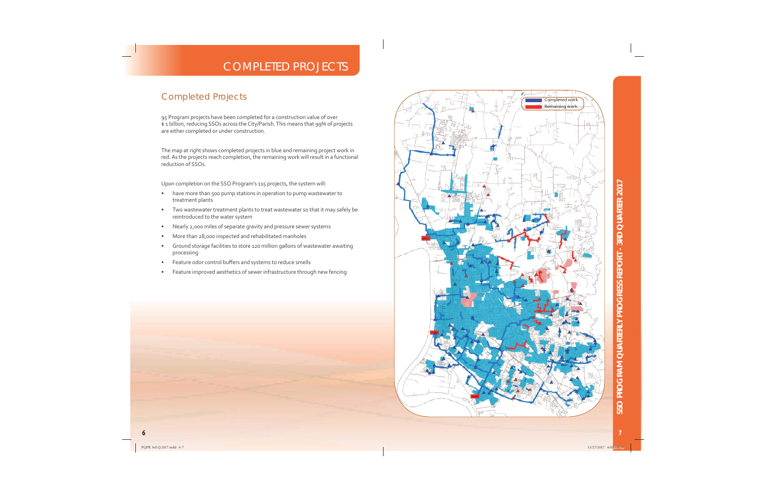## **COMPLETED PROJECTS**

#### **Completed Projects**

95 Program projects have been completed for a construction value of over \$1 billion, reducing SSOs across the City/Parish. This means that 99% of projects are either completed or under construction.

The map at right shows completed projects in blue and remaining project work in red. As the projects reach completion, the remaining work will result in a functional reduction of SSO<sub>s</sub>.

Upon completion on the SSO Program's 115 projects, the system will:

- have more than 500 pump stations in operation to pump wastewater to  $\bullet$ treatment plants
- Two wastewater treatment plants to treat wastewater so that it may safely be  $\bullet$ reintroduced to the water system
- Nearly 2,000 miles of separate gravity and pressure sewer systems  $\bullet$
- More than 28,000 inspected and rehabilitated manholes  $\bullet$
- Ground storage facilities to store 120 million gallons of wastewater awaiting  $\bullet$ processing
- Feature odor control buffers and systems to reduce smells  $\bullet$
- Feature improved aesthetics of sewer infrastructure through new fencing